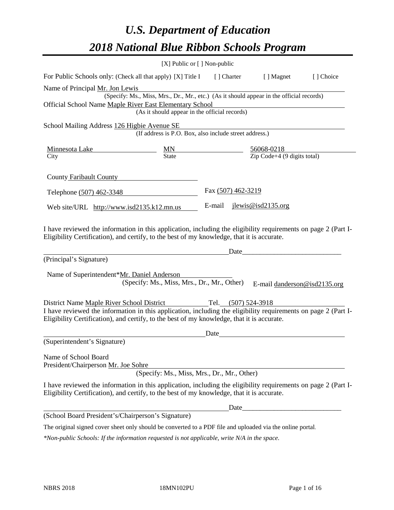# *U.S. Department of Education 2018 National Blue Ribbon Schools Program*

|                                                                                                                                                                                                                                                                                       | [X] Public or [] Non-public                                                                                                               |                          |                     |                                                         |                              |
|---------------------------------------------------------------------------------------------------------------------------------------------------------------------------------------------------------------------------------------------------------------------------------------|-------------------------------------------------------------------------------------------------------------------------------------------|--------------------------|---------------------|---------------------------------------------------------|------------------------------|
| For Public Schools only: (Check all that apply) [X] Title I                                                                                                                                                                                                                           |                                                                                                                                           | [ ] Charter              |                     | [ ] Magnet                                              | [] Choice                    |
| Name of Principal Mr. Jon Lewis<br>Official School Name Maple River East Elementary School                                                                                                                                                                                            | (Specify: Ms., Miss, Mrs., Dr., Mr., etc.) (As it should appear in the official records)<br>(As it should appear in the official records) |                          |                     |                                                         |                              |
| School Mailing Address 126 Higbie Avenue SE                                                                                                                                                                                                                                           | (If address is P.O. Box, also include street address.)                                                                                    |                          |                     |                                                         |                              |
| Minnesota Lake MN<br>City State State<br>City                                                                                                                                                                                                                                         |                                                                                                                                           | $\overline{\phantom{a}}$ |                     | $\frac{56068-0218}{\text{Zip Code}+4 (9 digits total)}$ |                              |
| County Faribault County                                                                                                                                                                                                                                                               |                                                                                                                                           |                          |                     |                                                         |                              |
| Telephone (507) 462-3348                                                                                                                                                                                                                                                              |                                                                                                                                           | Fax (507) 462-3219       |                     |                                                         |                              |
| Web site/URL http://www.isd2135.k12.mn.us                                                                                                                                                                                                                                             |                                                                                                                                           | E-mail                   |                     | $j$ lewis@isd2135.org                                   |                              |
| I have reviewed the information in this application, including the eligibility requirements on page 2 (Part I-<br>Eligibility Certification), and certify, to the best of my knowledge, that it is accurate.<br>(Principal's Signature)<br>Name of Superintendent*Mr. Daniel Anderson | (Specify: Ms., Miss, Mrs., Dr., Mr., Other)                                                                                               |                          | Date                |                                                         | E-mail danderson@isd2135.org |
| District Name Maple River School District<br>I have reviewed the information in this application, including the eligibility requirements on page 2 (Part I-<br>Eligibility Certification), and certify, to the best of my knowledge, that it is accurate.                             |                                                                                                                                           |                          | Tel. (507) 524-3918 |                                                         |                              |
| (Superintendent's Signature)                                                                                                                                                                                                                                                          |                                                                                                                                           | Date                     |                     |                                                         |                              |
| Name of School Board<br>President/Chairperson Mr. Joe Sohre                                                                                                                                                                                                                           | (Specify: Ms., Miss, Mrs., Dr., Mr., Other)                                                                                               |                          |                     |                                                         |                              |
| I have reviewed the information in this application, including the eligibility requirements on page 2 (Part I-<br>Eligibility Certification), and certify, to the best of my knowledge, that it is accurate.                                                                          |                                                                                                                                           |                          |                     |                                                         |                              |
|                                                                                                                                                                                                                                                                                       |                                                                                                                                           |                          | Date_               |                                                         |                              |
| (School Board President's/Chairperson's Signature)                                                                                                                                                                                                                                    |                                                                                                                                           |                          |                     |                                                         |                              |
| The original signed cover sheet only should be converted to a PDF file and uploaded via the online portal.                                                                                                                                                                            |                                                                                                                                           |                          |                     |                                                         |                              |

*\*Non-public Schools: If the information requested is not applicable, write N/A in the space.*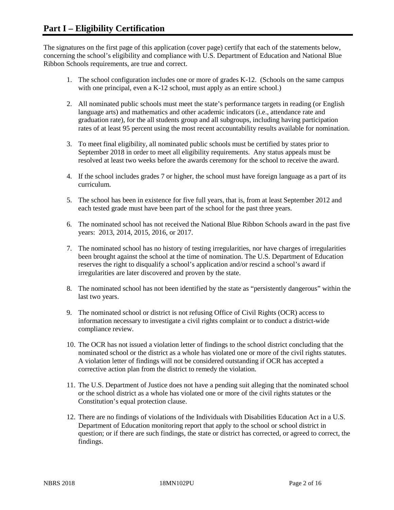The signatures on the first page of this application (cover page) certify that each of the statements below, concerning the school's eligibility and compliance with U.S. Department of Education and National Blue Ribbon Schools requirements, are true and correct.

- 1. The school configuration includes one or more of grades K-12. (Schools on the same campus with one principal, even a K-12 school, must apply as an entire school.)
- 2. All nominated public schools must meet the state's performance targets in reading (or English language arts) and mathematics and other academic indicators (i.e., attendance rate and graduation rate), for the all students group and all subgroups, including having participation rates of at least 95 percent using the most recent accountability results available for nomination.
- 3. To meet final eligibility, all nominated public schools must be certified by states prior to September 2018 in order to meet all eligibility requirements. Any status appeals must be resolved at least two weeks before the awards ceremony for the school to receive the award.
- 4. If the school includes grades 7 or higher, the school must have foreign language as a part of its curriculum.
- 5. The school has been in existence for five full years, that is, from at least September 2012 and each tested grade must have been part of the school for the past three years.
- 6. The nominated school has not received the National Blue Ribbon Schools award in the past five years: 2013, 2014, 2015, 2016, or 2017.
- 7. The nominated school has no history of testing irregularities, nor have charges of irregularities been brought against the school at the time of nomination. The U.S. Department of Education reserves the right to disqualify a school's application and/or rescind a school's award if irregularities are later discovered and proven by the state.
- 8. The nominated school has not been identified by the state as "persistently dangerous" within the last two years.
- 9. The nominated school or district is not refusing Office of Civil Rights (OCR) access to information necessary to investigate a civil rights complaint or to conduct a district-wide compliance review.
- 10. The OCR has not issued a violation letter of findings to the school district concluding that the nominated school or the district as a whole has violated one or more of the civil rights statutes. A violation letter of findings will not be considered outstanding if OCR has accepted a corrective action plan from the district to remedy the violation.
- 11. The U.S. Department of Justice does not have a pending suit alleging that the nominated school or the school district as a whole has violated one or more of the civil rights statutes or the Constitution's equal protection clause.
- 12. There are no findings of violations of the Individuals with Disabilities Education Act in a U.S. Department of Education monitoring report that apply to the school or school district in question; or if there are such findings, the state or district has corrected, or agreed to correct, the findings.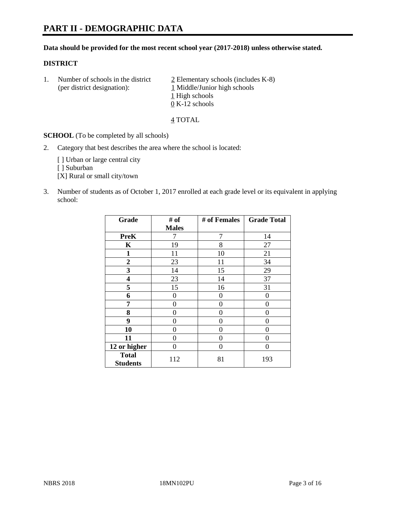# **PART II - DEMOGRAPHIC DATA**

#### **Data should be provided for the most recent school year (2017-2018) unless otherwise stated.**

#### **DISTRICT**

1. Number of schools in the district  $\frac{2}{2}$  Elementary schools (includes K-8) (per district designation): 1 Middle/Junior high schools 1 High schools 0 K-12 schools

#### 4 TOTAL

**SCHOOL** (To be completed by all schools)

2. Category that best describes the area where the school is located:

[] Urban or large central city

[ ] Suburban

[X] Rural or small city/town

3. Number of students as of October 1, 2017 enrolled at each grade level or its equivalent in applying school:

| Grade                           | # of         | # of Females | <b>Grade Total</b> |
|---------------------------------|--------------|--------------|--------------------|
|                                 | <b>Males</b> |              |                    |
| <b>PreK</b>                     | 7            | 7            | 14                 |
| $\mathbf K$                     | 19           | 8            | 27                 |
| $\mathbf{1}$                    | 11           | 10           | 21                 |
| 2                               | 23           | 11           | 34                 |
| 3                               | 14           | 15           | 29                 |
| 4                               | 23           | 14           | 37                 |
| 5                               | 15           | 16           | 31                 |
| 6                               | 0            | 0            | 0                  |
| 7                               | 0            | 0            | 0                  |
| 8                               | 0            | 0            | 0                  |
| 9                               | 0            | 0            | 0                  |
| 10                              | 0            | 0            | 0                  |
| 11                              | 0            | 0            | 0                  |
| 12 or higher                    | 0            | 0            | 0                  |
| <b>Total</b><br><b>Students</b> | 112          | 81           | 193                |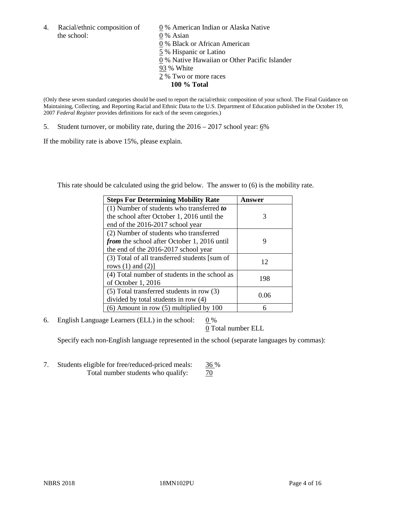the school: 0 % Asian

4. Racial/ethnic composition of  $\qquad 0\%$  American Indian or Alaska Native 0 % Black or African American 5 % Hispanic or Latino 0 % Native Hawaiian or Other Pacific Islander 93 % White 2 % Two or more races **100 % Total**

(Only these seven standard categories should be used to report the racial/ethnic composition of your school. The Final Guidance on Maintaining, Collecting, and Reporting Racial and Ethnic Data to the U.S. Department of Education published in the October 19, 2007 *Federal Register* provides definitions for each of the seven categories.)

5. Student turnover, or mobility rate, during the 2016 – 2017 school year: 6%

If the mobility rate is above 15%, please explain.

This rate should be calculated using the grid below. The answer to (6) is the mobility rate.

| <b>Steps For Determining Mobility Rate</b>         | Answer |
|----------------------------------------------------|--------|
| $(1)$ Number of students who transferred to        |        |
| the school after October 1, 2016 until the         | 3      |
| end of the 2016-2017 school year                   |        |
| (2) Number of students who transferred             |        |
| <i>from</i> the school after October 1, 2016 until | 9      |
| the end of the 2016-2017 school year               |        |
| (3) Total of all transferred students [sum of      | 12     |
| rows $(1)$ and $(2)$ ]                             |        |
| (4) Total number of students in the school as      |        |
| of October 1, 2016                                 | 198    |
| (5) Total transferred students in row (3)          |        |
| divided by total students in row (4)               | 0.06   |
| $(6)$ Amount in row $(5)$ multiplied by 100        | 6      |

6. English Language Learners (ELL) in the school:  $0\%$ 

0 Total number ELL

Specify each non-English language represented in the school (separate languages by commas):

7. Students eligible for free/reduced-priced meals: 36 % Total number students who qualify:  $\frac{70}{2}$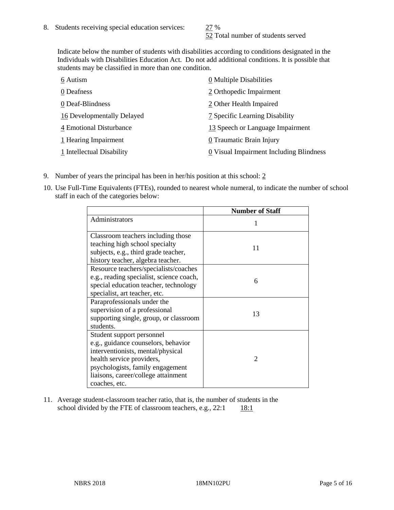52 Total number of students served

Indicate below the number of students with disabilities according to conditions designated in the Individuals with Disabilities Education Act. Do not add additional conditions. It is possible that students may be classified in more than one condition.

| 6 Autism                   | 0 Multiple Disabilities                 |
|----------------------------|-----------------------------------------|
| 0 Deafness                 | 2 Orthopedic Impairment                 |
| 0 Deaf-Blindness           | 2 Other Health Impaired                 |
| 16 Developmentally Delayed | 7 Specific Learning Disability          |
| 4 Emotional Disturbance    | 13 Speech or Language Impairment        |
| 1 Hearing Impairment       | 0 Traumatic Brain Injury                |
| 1 Intellectual Disability  | 0 Visual Impairment Including Blindness |

- 9. Number of years the principal has been in her/his position at this school:  $2$
- 10. Use Full-Time Equivalents (FTEs), rounded to nearest whole numeral, to indicate the number of school staff in each of the categories below:

|                                                                                                                                                                                                                                | <b>Number of Staff</b> |
|--------------------------------------------------------------------------------------------------------------------------------------------------------------------------------------------------------------------------------|------------------------|
| Administrators                                                                                                                                                                                                                 |                        |
| Classroom teachers including those<br>teaching high school specialty<br>subjects, e.g., third grade teacher,<br>history teacher, algebra teacher.                                                                              | 11                     |
| Resource teachers/specialists/coaches<br>e.g., reading specialist, science coach,<br>special education teacher, technology<br>specialist, art teacher, etc.                                                                    | 6                      |
| Paraprofessionals under the<br>supervision of a professional<br>supporting single, group, or classroom<br>students.                                                                                                            | 13                     |
| Student support personnel<br>e.g., guidance counselors, behavior<br>interventionists, mental/physical<br>health service providers,<br>psychologists, family engagement<br>liaisons, career/college attainment<br>coaches, etc. | $\mathfrak{D}$         |

11. Average student-classroom teacher ratio, that is, the number of students in the school divided by the FTE of classroom teachers, e.g.,  $22:1$  18:1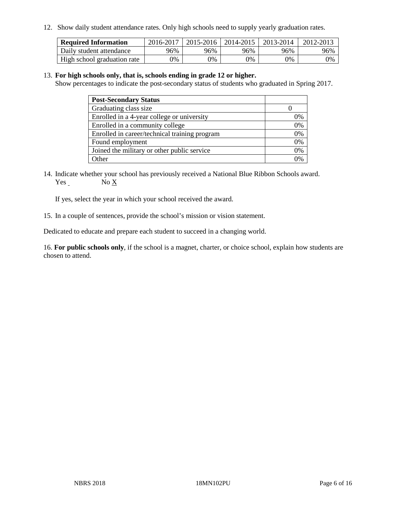12. Show daily student attendance rates. Only high schools need to supply yearly graduation rates.

| <b>Required Information</b> | 2016-2017 | $2015 - 2016$ | 2014-2015 | 2013-2014 | 2012-2013 |
|-----------------------------|-----------|---------------|-----------|-----------|-----------|
| Daily student attendance    | 96%       | 96%           | 96%       | 96%       | 96%       |
| High school graduation rate | 0%        | 0%            | 0%        | 9%        | 0%        |

#### 13. **For high schools only, that is, schools ending in grade 12 or higher.**

Show percentages to indicate the post-secondary status of students who graduated in Spring 2017.

| <b>Post-Secondary Status</b>                  |              |
|-----------------------------------------------|--------------|
| Graduating class size                         |              |
| Enrolled in a 4-year college or university    | 0%           |
| Enrolled in a community college               | 0%           |
| Enrolled in career/technical training program | 0%           |
| Found employment                              | 0%           |
| Joined the military or other public service   | 0%           |
| Other                                         | $\gamma_{0}$ |

14. Indicate whether your school has previously received a National Blue Ribbon Schools award. Yes No X

If yes, select the year in which your school received the award.

15. In a couple of sentences, provide the school's mission or vision statement.

Dedicated to educate and prepare each student to succeed in a changing world.

16. **For public schools only**, if the school is a magnet, charter, or choice school, explain how students are chosen to attend.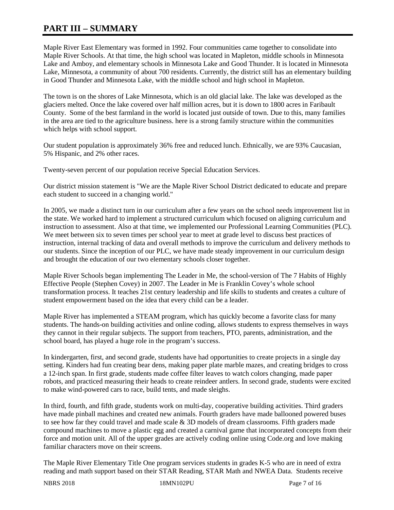# **PART III – SUMMARY**

Maple River East Elementary was formed in 1992. Four communities came together to consolidate into Maple River Schools. At that time, the high school was located in Mapleton, middle schools in Minnesota Lake and Amboy, and elementary schools in Minnesota Lake and Good Thunder. It is located in Minnesota Lake, Minnesota, a community of about 700 residents. Currently, the district still has an elementary building in Good Thunder and Minnesota Lake, with the middle school and high school in Mapleton.

The town is on the shores of Lake Minnesota, which is an old glacial lake. The lake was developed as the glaciers melted. Once the lake covered over half million acres, but it is down to 1800 acres in Faribault County. Some of the best farmland in the world is located just outside of town. Due to this, many families in the area are tied to the agriculture business. here is a strong family structure within the communities which helps with school support.

Our student population is approximately 36% free and reduced lunch. Ethnically, we are 93% Caucasian, 5% Hispanic, and 2% other races.

Twenty-seven percent of our population receive Special Education Services.

Our district mission statement is "We are the Maple River School District dedicated to educate and prepare each student to succeed in a changing world."

In 2005, we made a distinct turn in our curriculum after a few years on the school needs improvement list in the state. We worked hard to implement a structured curriculum which focused on aligning curriculum and instruction to assessment. Also at that time, we implemented our Professional Learning Communities (PLC). We meet between six to seven times per school year to meet at grade level to discuss best practices of instruction, internal tracking of data and overall methods to improve the curriculum and delivery methods to our students. Since the inception of our PLC, we have made steady improvement in our curriculum design and brought the education of our two elementary schools closer together.

Maple River Schools began implementing The Leader in Me, the school-version of The 7 Habits of Highly Effective People (Stephen Covey) in 2007. The Leader in Me is Franklin Covey's whole school transformation process. It teaches 21st century leadership and life skills to students and creates a culture of student empowerment based on the idea that every child can be a leader.

Maple River has implemented a STEAM program, which has quickly become a favorite class for many students. The hands-on building activities and online coding, allows students to express themselves in ways they cannot in their regular subjects. The support from teachers, PTO, parents, administration, and the school board, has played a huge role in the program's success.

In kindergarten, first, and second grade, students have had opportunities to create projects in a single day setting. Kinders had fun creating bear dens, making paper plate marble mazes, and creating bridges to cross a 12-inch span. In first grade, students made coffee filter leaves to watch colors changing, made paper robots, and practiced measuring their heads to create reindeer antlers. In second grade, students were excited to make wind-powered cars to race, build tents, and made sleighs.

In third, fourth, and fifth grade, students work on multi-day, cooperative building activities. Third graders have made pinball machines and created new animals. Fourth graders have made ballooned powered buses to see how far they could travel and made scale  $\&$  3D models of dream classrooms. Fifth graders made compound machines to move a plastic egg and created a carnival game that incorporated concepts from their force and motion unit. All of the upper grades are actively coding online using Code.org and love making familiar characters move on their screens.

The Maple River Elementary Title One program services students in grades K-5 who are in need of extra reading and math support based on their STAR Reading, STAR Math and NWEA Data. Students receive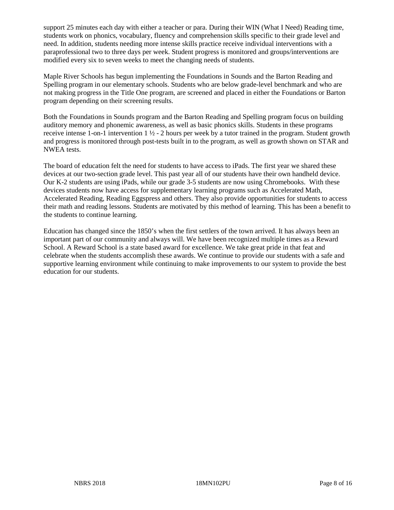support 25 minutes each day with either a teacher or para. During their WIN (What I Need) Reading time, students work on phonics, vocabulary, fluency and comprehension skills specific to their grade level and need. In addition, students needing more intense skills practice receive individual interventions with a paraprofessional two to three days per week. Student progress is monitored and groups/interventions are modified every six to seven weeks to meet the changing needs of students.

Maple River Schools has begun implementing the Foundations in Sounds and the Barton Reading and Spelling program in our elementary schools. Students who are below grade-level benchmark and who are not making progress in the Title One program, are screened and placed in either the Foundations or Barton program depending on their screening results.

Both the Foundations in Sounds program and the Barton Reading and Spelling program focus on building auditory memory and phonemic awareness, as well as basic phonics skills. Students in these programs receive intense 1-on-1 intervention  $1 \frac{1}{2}$  - 2 hours per week by a tutor trained in the program. Student growth and progress is monitored through post-tests built in to the program, as well as growth shown on STAR and NWEA tests.

The board of education felt the need for students to have access to iPads. The first year we shared these devices at our two-section grade level. This past year all of our students have their own handheld device. Our K-2 students are using iPads, while our grade 3-5 students are now using Chromebooks. With these devices students now have access for supplementary learning programs such as Accelerated Math, Accelerated Reading, Reading Eggspress and others. They also provide opportunities for students to access their math and reading lessons. Students are motivated by this method of learning. This has been a benefit to the students to continue learning.

Education has changed since the 1850's when the first settlers of the town arrived. It has always been an important part of our community and always will. We have been recognized multiple times as a Reward School. A Reward School is a state based award for excellence. We take great pride in that feat and celebrate when the students accomplish these awards. We continue to provide our students with a safe and supportive learning environment while continuing to make improvements to our system to provide the best education for our students.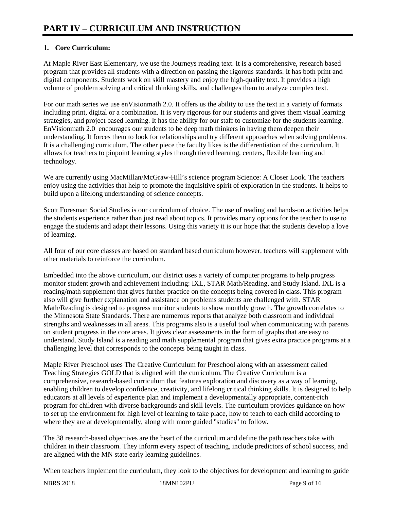# **1. Core Curriculum:**

At Maple River East Elementary, we use the Journeys reading text. It is a comprehensive, research based program that provides all students with a direction on passing the rigorous standards. It has both print and digital components. Students work on skill mastery and enjoy the high-quality text. It provides a high volume of problem solving and critical thinking skills, and challenges them to analyze complex text.

For our math series we use enVisionmath 2.0. It offers us the ability to use the text in a variety of formats including print, digital or a combination. It is very rigorous for our students and gives them visual learning strategies, and project based learning. It has the ability for our staff to customize for the students learning. EnVisionmath 2.0 encourages our students to be deep math thinkers in having them deepen their understanding. It forces them to look for relationships and try different approaches when solving problems. It is a challenging curriculum. The other piece the faculty likes is the differentiation of the curriculum. It allows for teachers to pinpoint learning styles through tiered learning, centers, flexible learning and technology.

We are currently using MacMillan/McGraw-Hill's science program Science: A Closer Look. The teachers enjoy using the activities that help to promote the inquisitive spirit of exploration in the students. It helps to build upon a lifelong understanding of science concepts.

Scott Foresman Social Studies is our curriculum of choice. The use of reading and hands-on activities helps the students experience rather than just read about topics. It provides many options for the teacher to use to engage the students and adapt their lessons. Using this variety it is our hope that the students develop a love of learning.

All four of our core classes are based on standard based curriculum however, teachers will supplement with other materials to reinforce the curriculum.

Embedded into the above curriculum, our district uses a variety of computer programs to help progress monitor student growth and achievement including: IXL, STAR Math/Reading, and Study Island. IXL is a reading/math supplement that gives further practice on the concepts being covered in class. This program also will give further explanation and assistance on problems students are challenged with. STAR Math/Reading is designed to progress monitor students to show monthly growth. The growth correlates to the Minnesota State Standards. There are numerous reports that analyze both classroom and individual strengths and weaknesses in all areas. This programs also is a useful tool when communicating with parents on student progress in the core areas. It gives clear assessments in the form of graphs that are easy to understand. Study Island is a reading and math supplemental program that gives extra practice programs at a challenging level that corresponds to the concepts being taught in class.

Maple River Preschool uses The Creative Curriculum for Preschool along with an assessment called Teaching Strategies GOLD that is aligned with the curriculum. The Creative Curriculum is a comprehensive, research-based curriculum that features exploration and discovery as a way of learning, enabling children to develop confidence, creativity, and lifelong critical thinking skills. It is designed to help educators at all levels of experience plan and implement a developmentally appropriate, content-rich program for children with diverse backgrounds and skill levels. The curriculum provides guidance on how to set up the environment for high level of learning to take place, how to teach to each child according to where they are at developmentally, along with more guided "studies" to follow.

The 38 research-based objectives are the heart of the curriculum and define the path teachers take with children in their classroom. They inform every aspect of teaching, include predictors of school success, and are aligned with the MN state early learning guidelines.

When teachers implement the curriculum, they look to the objectives for development and learning to guide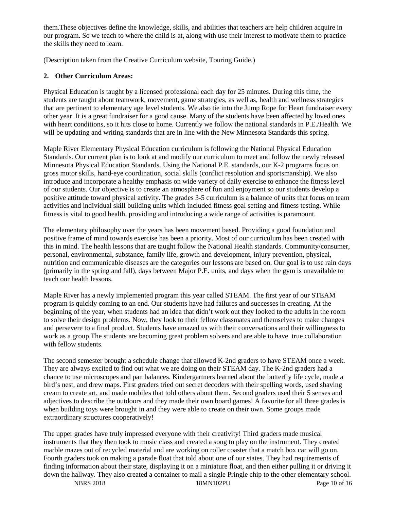them.These objectives define the knowledge, skills, and abilities that teachers are help children acquire in our program. So we teach to where the child is at, along with use their interest to motivate them to practice the skills they need to learn.

(Description taken from the Creative Curriculum website, Touring Guide.)

# **2. Other Curriculum Areas:**

Physical Education is taught by a licensed professional each day for 25 minutes. During this time, the students are taught about teamwork, movement, game strategies, as well as, health and wellness strategies that are pertinent to elementary age level students. We also tie into the Jump Rope for Heart fundraiser every other year. It is a great fundraiser for a good cause. Many of the students have been affected by loved ones with heart conditions, so it hits close to home. Currently we follow the national standards in P.E./Health. We will be updating and writing standards that are in line with the New Minnesota Standards this spring.

Maple River Elementary Physical Education curriculum is following the National Physical Education Standards. Our current plan is to look at and modify our curriculum to meet and follow the newly released Minnesota Physical Education Standards. Using the National P.E. standards, our K-2 programs focus on gross motor skills, hand-eye coordination, social skills (conflict resolution and sportsmanship). We also introduce and incorporate a healthy emphasis on wide variety of daily exercise to enhance the fitness level of our students. Our objective is to create an atmosphere of fun and enjoyment so our students develop a positive attitude toward physical activity. The grades 3-5 curriculum is a balance of units that focus on team activities and individual skill building units which included fitness goal setting and fitness testing. While fitness is vital to good health, providing and introducing a wide range of activities is paramount.

The elementary philosophy over the years has been movement based. Providing a good foundation and positive frame of mind towards exercise has been a priority. Most of our curriculum has been created with this in mind. The health lessons that are taught follow the National Health standards. Community/consumer, personal, environmental, substance, family life, growth and development, injury prevention, physical, nutrition and communicable diseases are the categories our lessons are based on. Our goal is to use rain days (primarily in the spring and fall), days between Major P.E. units, and days when the gym is unavailable to teach our health lessons.

Maple River has a newly implemented program this year called STEAM. The first year of our STEAM program is quickly coming to an end. Our students have had failures and successes in creating. At the beginning of the year, when students had an idea that didn't work out they looked to the adults in the room to solve their design problems. Now, they look to their fellow classmates and themselves to make changes and persevere to a final product. Students have amazed us with their conversations and their willingness to work as a group.The students are becoming great problem solvers and are able to have true collaboration with fellow students.

The second semester brought a schedule change that allowed K-2nd graders to have STEAM once a week. They are always excited to find out what we are doing on their STEAM day. The K-2nd graders had a chance to use microscopes and pan balances. Kindergartners learned about the butterfly life cycle, made a bird's nest, and drew maps. First graders tried out secret decoders with their spelling words, used shaving cream to create art, and made mobiles that told others about them. Second graders used their 5 senses and adjectives to describe the outdoors and they made their own board games! A favorite for all three grades is when building toys were brought in and they were able to create on their own. Some groups made extraordinary structures cooperatively!

The upper grades have truly impressed everyone with their creativity! Third graders made musical instruments that they then took to music class and created a song to play on the instrument. They created marble mazes out of recycled material and are working on roller coaster that a match box car will go on. Fourth graders took on making a parade float that told about one of our states. They had requirements of finding information about their state, displaying it on a miniature float, and then either pulling it or driving it down the hallway. They also created a container to mail a single Pringle chip to the other elementary school.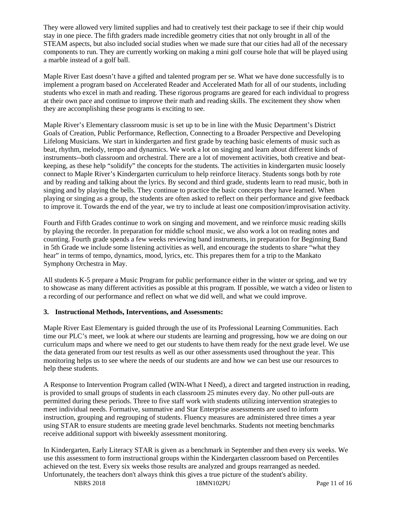They were allowed very limited supplies and had to creatively test their package to see if their chip would stay in one piece. The fifth graders made incredible geometry cities that not only brought in all of the STEAM aspects, but also included social studies when we made sure that our cities had all of the necessary components to run. They are currently working on making a mini golf course hole that will be played using a marble instead of a golf ball.

Maple River East doesn't have a gifted and talented program per se. What we have done successfully is to implement a program based on Accelerated Reader and Accelerated Math for all of our students, including students who excel in math and reading. These rigorous programs are geared for each individual to progress at their own pace and continue to improve their math and reading skills. The excitement they show when they are accomplishing these programs is exciting to see.

Maple River's Elementary classroom music is set up to be in line with the Music Department's District Goals of Creation, Public Performance, Reflection, Connecting to a Broader Perspective and Developing Lifelong Musicians. We start in kindergarten and first grade by teaching basic elements of music such as beat, rhythm, melody, tempo and dynamics. We work a lot on singing and learn about different kinds of instruments--both classroom and orchestral. There are a lot of movement activities, both creative and beatkeeping, as these help "solidify" the concepts for the students. The activities in kindergarten music loosely connect to Maple River's Kindergarten curriculum to help reinforce literacy. Students songs both by rote and by reading and talking about the lyrics. By second and third grade, students learn to read music, both in singing and by playing the bells. They continue to practice the basic concepts they have learned. When playing or singing as a group, the students are often asked to reflect on their performance and give feedback to improve it. Towards the end of the year, we try to include at least one composition/improvisation activity.

Fourth and Fifth Grades continue to work on singing and movement, and we reinforce music reading skills by playing the recorder. In preparation for middle school music, we also work a lot on reading notes and counting. Fourth grade spends a few weeks reviewing band instruments, in preparation for Beginning Band in 5th Grade we include some listening activities as well, and encourage the students to share "what they hear" in terms of tempo, dynamics, mood, lyrics, etc. This prepares them for a trip to the Mankato Symphony Orchestra in May.

All students K-5 prepare a Music Program for public performance either in the winter or spring, and we try to showcase as many different activities as possible at this program. If possible, we watch a video or listen to a recording of our performance and reflect on what we did well, and what we could improve.

## **3. Instructional Methods, Interventions, and Assessments:**

Maple River East Elementary is guided through the use of its Professional Learning Communities. Each time our PLC's meet, we look at where our students are learning and progressing, how we are doing on our curriculum maps and where we need to get our students to have them ready for the next grade level. We use the data generated from our test results as well as our other assessments used throughout the year. This monitoring helps us to see where the needs of our students are and how we can best use our resources to help these students.

A Response to Intervention Program called (WIN-What I Need), a direct and targeted instruction in reading, is provided to small groups of students in each classroom 25 minutes every day. No other pull-outs are permitted during these periods. Three to five staff work with students utilizing intervention strategies to meet individual needs. Formative, summative and Star Enterprise assessments are used to inform instruction, grouping and regrouping of students. Fluency measures are administered three times a year using STAR to ensure students are meeting grade level benchmarks. Students not meeting benchmarks receive additional support with biweekly assessment monitoring.

In Kindergarten, Early Literacy STAR is given as a benchmark in September and then every six weeks. We use this assessment to form instructional groups within the Kindergarten classroom based on Percentiles achieved on the test. Every six weeks those results are analyzed and groups rearranged as needed. Unfortunately, the teachers don't always think this gives a true picture of the student's ability.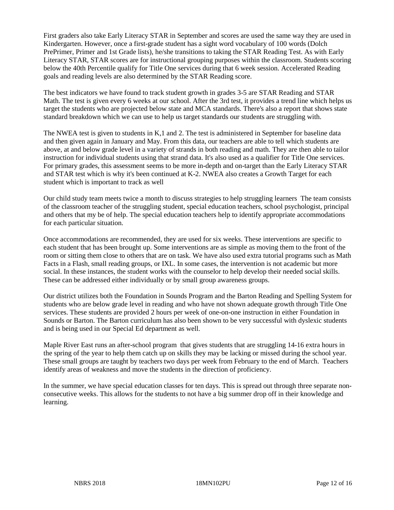First graders also take Early Literacy STAR in September and scores are used the same way they are used in Kindergarten. However, once a first-grade student has a sight word vocabulary of 100 words (Dolch PrePrimer, Primer and 1st Grade lists), he/she transitions to taking the STAR Reading Test. As with Early Literacy STAR, STAR scores are for instructional grouping purposes within the classroom. Students scoring below the 40th Percentile qualify for Title One services during that 6 week session. Accelerated Reading goals and reading levels are also determined by the STAR Reading score.

The best indicators we have found to track student growth in grades 3-5 are STAR Reading and STAR Math. The test is given every 6 weeks at our school. After the 3rd test, it provides a trend line which helps us target the students who are projected below state and MCA standards. There's also a report that shows state standard breakdown which we can use to help us target standards our students are struggling with.

The NWEA test is given to students in K,1 and 2. The test is administered in September for baseline data and then given again in January and May. From this data, our teachers are able to tell which students are above, at and below grade level in a variety of strands in both reading and math. They are then able to tailor instruction for individual students using that strand data. It's also used as a qualifier for Title One services. For primary grades, this assessment seems to be more in-depth and on-target than the Early Literacy STAR and STAR test which is why it's been continued at K-2. NWEA also creates a Growth Target for each student which is important to track as well

Our child study team meets twice a month to discuss strategies to help struggling learners The team consists of the classroom teacher of the struggling student, special education teachers, school psychologist, principal and others that my be of help. The special education teachers help to identify appropriate accommodations for each particular situation.

Once accommodations are recommended, they are used for six weeks. These interventions are specific to each student that has been brought up. Some interventions are as simple as moving them to the front of the room or sitting them close to others that are on task. We have also used extra tutorial programs such as Math Facts in a Flash, small reading groups, or IXL. In some cases, the intervention is not academic but more social. In these instances, the student works with the counselor to help develop their needed social skills. These can be addressed either individually or by small group awareness groups.

Our district utilizes both the Foundation in Sounds Program and the Barton Reading and Spelling System for students who are below grade level in reading and who have not shown adequate growth through Title One services. These students are provided 2 hours per week of one-on-one instruction in either Foundation in Sounds or Barton. The Barton curriculum has also been shown to be very successful with dyslexic students and is being used in our Special Ed department as well.

Maple River East runs an after-school program that gives students that are struggling 14-16 extra hours in the spring of the year to help them catch up on skills they may be lacking or missed during the school year. These small groups are taught by teachers two days per week from February to the end of March. Teachers identify areas of weakness and move the students in the direction of proficiency.

In the summer, we have special education classes for ten days. This is spread out through three separate nonconsecutive weeks. This allows for the students to not have a big summer drop off in their knowledge and learning.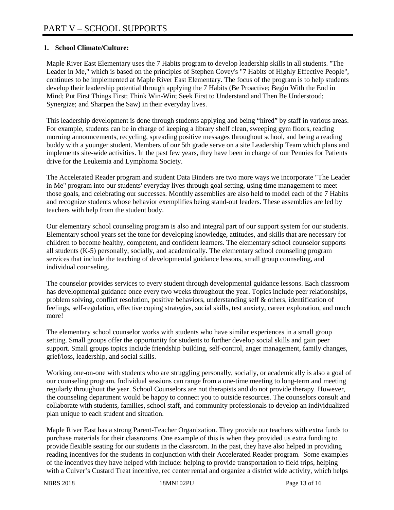## **1. School Climate/Culture:**

Maple River East Elementary uses the 7 Habits program to develop leadership skills in all students. "The Leader in Me," which is based on the principles of Stephen Covey's "7 Habits of Highly Effective People", continues to be implemented at Maple River East Elementary. The focus of the program is to help students develop their leadership potential through applying the 7 Habits (Be Proactive; Begin With the End in Mind; Put First Things First; Think Win-Win; Seek First to Understand and Then Be Understood; Synergize; and Sharpen the Saw) in their everyday lives.

This leadership development is done through students applying and being "hired" by staff in various areas. For example, students can be in charge of keeping a library shelf clean, sweeping gym floors, reading morning announcements, recycling, spreading positive messages throughout school, and being a reading buddy with a younger student. Members of our 5th grade serve on a site Leadership Team which plans and implements site-wide activities. In the past few years, they have been in charge of our Pennies for Patients drive for the Leukemia and Lymphoma Society.

The Accelerated Reader program and student Data Binders are two more ways we incorporate "The Leader in Me" program into our students' everyday lives through goal setting, using time management to meet those goals, and celebrating our successes. Monthly assemblies are also held to model each of the 7 Habits and recognize students whose behavior exemplifies being stand-out leaders. These assemblies are led by teachers with help from the student body.

Our elementary school counseling program is also and integral part of our support system for our students. Elementary school years set the tone for developing knowledge, attitudes, and skills that are necessary for children to become healthy, competent, and confident learners. The elementary school counselor supports all students (K-5) personally, socially, and academically. The elementary school counseling program services that include the teaching of developmental guidance lessons, small group counseling, and individual counseling.

The counselor provides services to every student through developmental guidance lessons. Each classroom has developmental guidance once every two weeks throughout the year. Topics include peer relationships, problem solving, conflict resolution, positive behaviors, understanding self & others, identification of feelings, self-regulation, effective coping strategies, social skills, test anxiety, career exploration, and much more!

The elementary school counselor works with students who have similar experiences in a small group setting. Small groups offer the opportunity for students to further develop social skills and gain peer support. Small groups topics include friendship building, self-control, anger management, family changes, grief/loss, leadership, and social skills.

Working one-on-one with students who are struggling personally, socially, or academically is also a goal of our counseling program. Individual sessions can range from a one-time meeting to long-term and meeting regularly throughout the year. School Counselors are not therapists and do not provide therapy. However, the counseling department would be happy to connect you to outside resources. The counselors consult and collaborate with students, families, school staff, and community professionals to develop an individualized plan unique to each student and situation.

Maple River East has a strong Parent-Teacher Organization. They provide our teachers with extra funds to purchase materials for their classrooms. One example of this is when they provided us extra funding to provide flexible seating for our students in the classroom. In the past, they have also helped in providing reading incentives for the students in conjunction with their Accelerated Reader program. Some examples of the incentives they have helped with include: helping to provide transportation to field trips, helping with a Culver's Custard Treat incentive, rec center rental and organize a district wide activity, which helps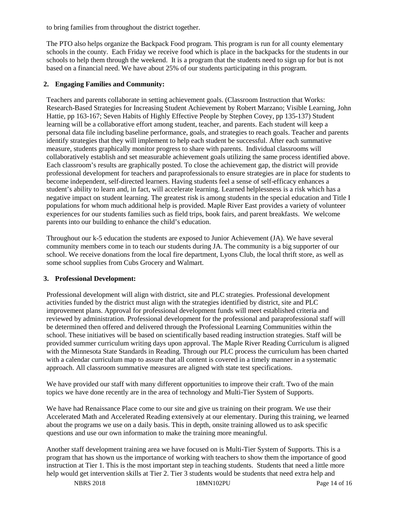to bring families from throughout the district together.

The PTO also helps organize the Backpack Food program. This program is run for all county elementary schools in the county. Each Friday we receive food which is place in the backpacks for the students in our schools to help them through the weekend. It is a program that the students need to sign up for but is not based on a financial need. We have about 25% of our students participating in this program.

## **2. Engaging Families and Community:**

Teachers and parents collaborate in setting achievement goals. (Classroom Instruction that Works: Research-Based Strategies for Increasing Student Achievement by Robert Marzano; Visible Learning, John Hattie, pp 163-167; Seven Habits of Highly Effective People by Stephen Covey, pp 135-137) Student learning will be a collaborative effort among student, teacher, and parents. Each student will keep a personal data file including baseline performance, goals, and strategies to reach goals. Teacher and parents identify strategies that they will implement to help each student be successful. After each summative measure, students graphically monitor progress to share with parents. Individual classrooms will collaboratively establish and set measurable achievement goals utilizing the same process identified above. Each classroom's results are graphically posted. To close the achievement gap, the district will provide professional development for teachers and paraprofessionals to ensure strategies are in place for students to become independent, self-directed learners. Having students feel a sense of self-efficacy enhances a student's ability to learn and, in fact, will accelerate learning. Learned helplessness is a risk which has a negative impact on student learning. The greatest risk is among students in the special education and Title I populations for whom much additional help is provided. Maple River East provides a variety of volunteer experiences for our students families such as field trips, book fairs, and parent breakfasts. We welcome parents into our building to enhance the child's education.

Throughout our k-5 education the students are exposed to Junior Achievement (JA). We have several community members come in to teach our students during JA. The community is a big supporter of our school. We receive donations from the local fire department, Lyons Club, the local thrift store, as well as some school supplies from Cubs Grocery and Walmart.

#### **3. Professional Development:**

Professional development will align with district, site and PLC strategies. Professional development activities funded by the district must align with the strategies identified by district, site and PLC improvement plans. Approval for professional development funds will meet established criteria and reviewed by administration. Professional development for the professional and paraprofessional staff will be determined then offered and delivered through the Professional Learning Communities within the school. These initiatives will be based on scientifically based reading instruction strategies. Staff will be provided summer curriculum writing days upon approval. The Maple River Reading Curriculum is aligned with the Minnesota State Standards in Reading. Through our PLC process the curriculum has been charted with a calendar curriculum map to assure that all content is covered in a timely manner in a systematic approach. All classroom summative measures are aligned with state test specifications.

We have provided our staff with many different opportunities to improve their craft. Two of the main topics we have done recently are in the area of technology and Multi-Tier System of Supports.

We have had Renaissance Place come to our site and give us training on their program. We use their Accelerated Math and Accelerated Reading extensively at our elementary. During this training, we learned about the programs we use on a daily basis. This in depth, onsite training allowed us to ask specific questions and use our own information to make the training more meaningful.

Another staff development training area we have focused on is Multi-Tier System of Supports. This is a program that has shown us the importance of working with teachers to show them the importance of good instruction at Tier 1. This is the most important step in teaching students. Students that need a little more help would get intervention skills at Tier 2. Tier 3 students would be students that need extra help and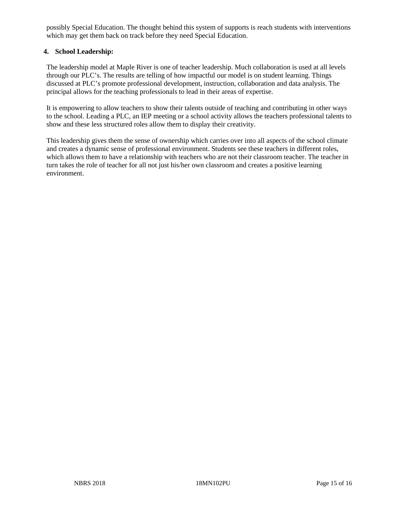possibly Special Education. The thought behind this system of supports is reach students with interventions which may get them back on track before they need Special Education.

### **4. School Leadership:**

The leadership model at Maple River is one of teacher leadership. Much collaboration is used at all levels through our PLC's. The results are telling of how impactful our model is on student learning. Things discussed at PLC's promote professional development, instruction, collaboration and data analysis. The principal allows for the teaching professionals to lead in their areas of expertise.

It is empowering to allow teachers to show their talents outside of teaching and contributing in other ways to the school. Leading a PLC, an IEP meeting or a school activity allows the teachers professional talents to show and these less structured roles allow them to display their creativity.

This leadership gives them the sense of ownership which carries over into all aspects of the school climate and creates a dynamic sense of professional environment. Students see these teachers in different roles, which allows them to have a relationship with teachers who are not their classroom teacher. The teacher in turn takes the role of teacher for all not just his/her own classroom and creates a positive learning environment.